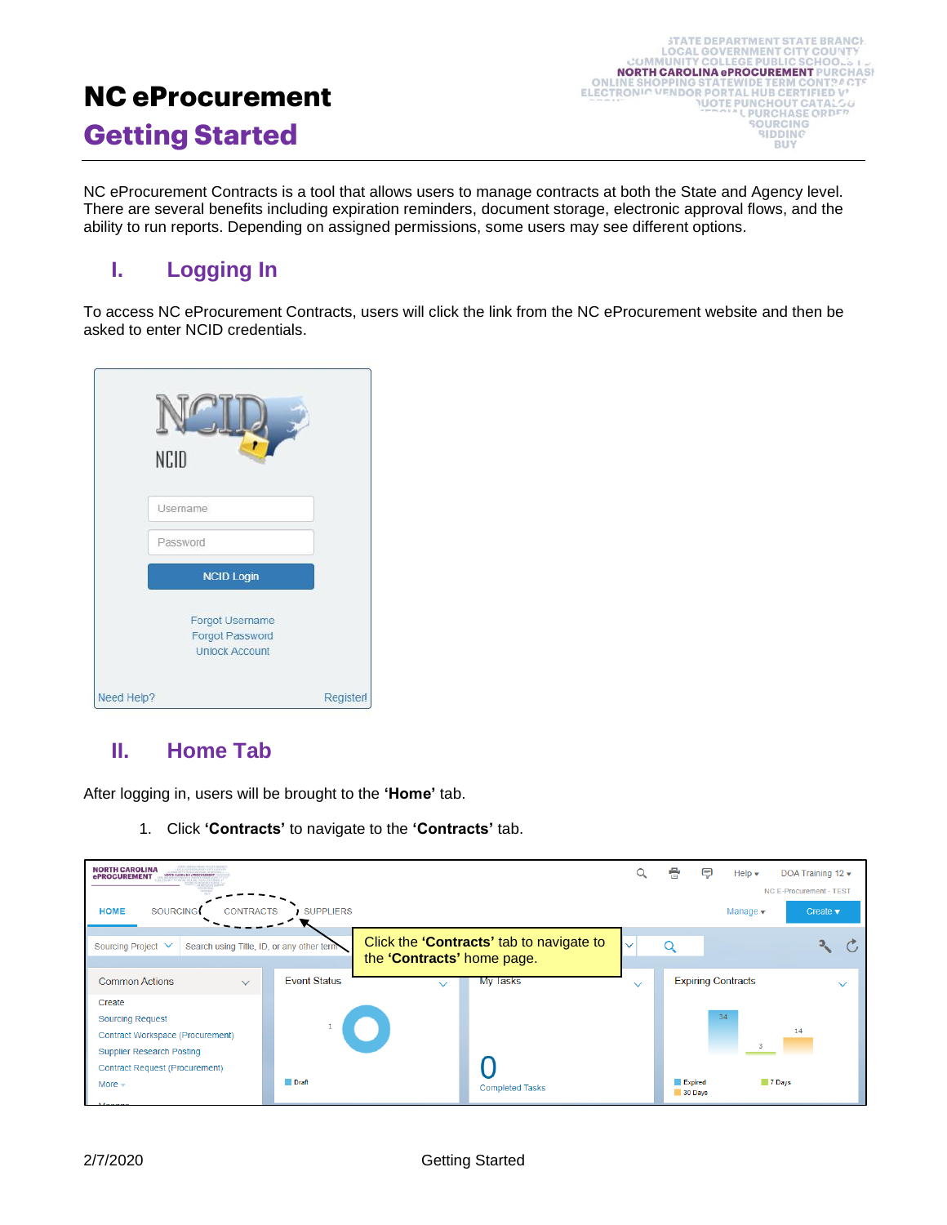# **NC eProcurement Getting Started**

NC eProcurement Contracts is a tool that allows users to manage contracts at both the State and Agency level. There are several benefits including expiration reminders, document storage, electronic approval flows, and the ability to run reports. Depending on assigned permissions, some users may see different options.

### **I. Logging In**

To access NC eProcurement Contracts, users will click the link from the NC eProcurement website and then be asked to enter NCID credentials.

| NCID                                                               |                  |
|--------------------------------------------------------------------|------------------|
| <b>Usemame</b>                                                     |                  |
| Password                                                           |                  |
| <b>NCID Login</b>                                                  |                  |
| Forgot Username<br><b>Forgot Password</b><br><b>Unlock Account</b> |                  |
| Need Help?                                                         | <b>Register!</b> |

#### **II. Home Tab**

After logging in, users will be brought to the **'Home'** tab.

1. Click **'Contracts'** to navigate to the **'Contracts'** tab.

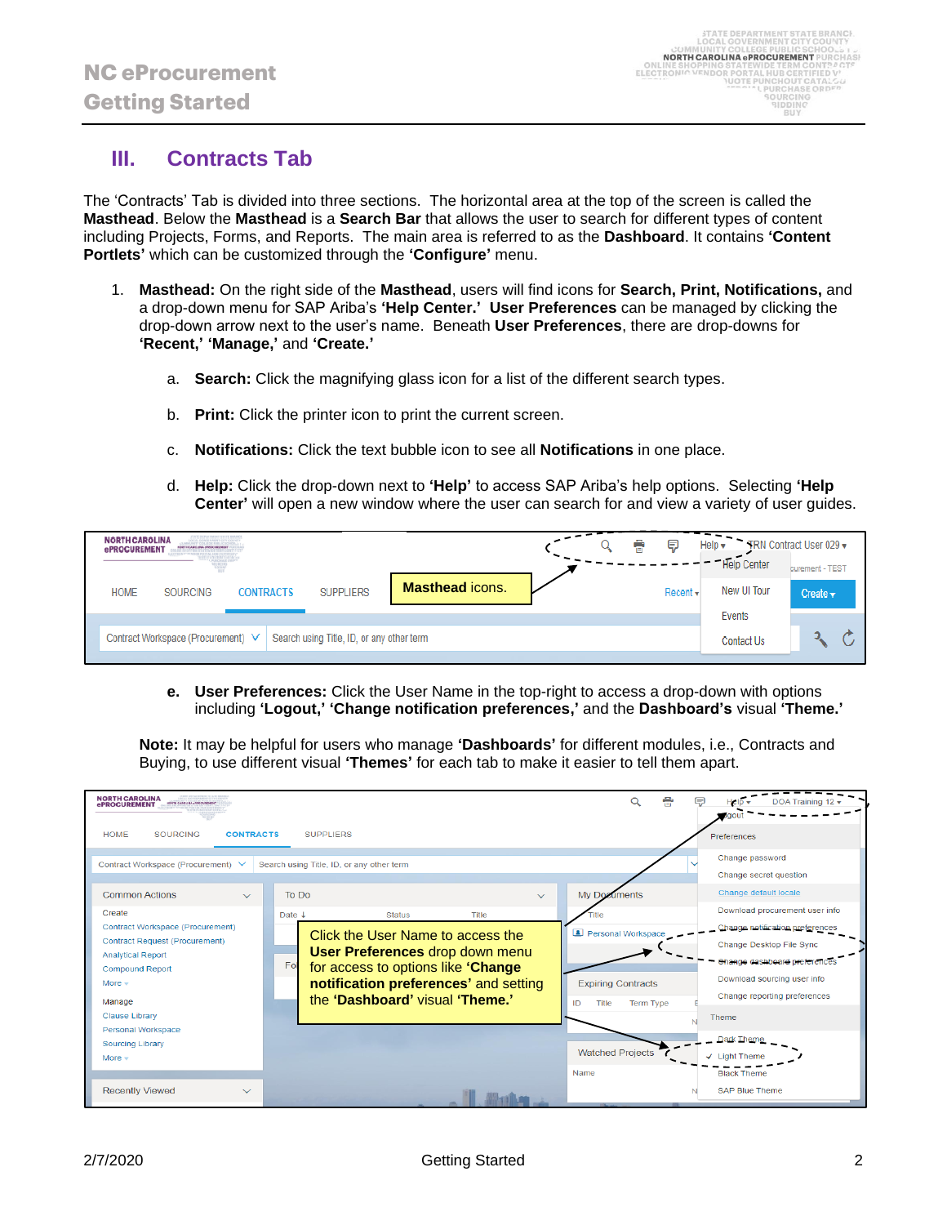#### **III. Contracts Tab**

The 'Contracts' Tab is divided into three sections. The horizontal area at the top of the screen is called the **Masthead**. Below the **Masthead** is a **Search Bar** that allows the user to search for different types of content including Projects, Forms, and Reports. The main area is referred to as the **Dashboard**. It contains **'Content Portlets'** which can be customized through the **'Configure'** menu.

- 1. **Masthead:** On the right side of the **Masthead**, users will find icons for **Search, Print, Notifications,** and a drop-down menu for SAP Ariba's **'Help Center.' User Preferences** can be managed by clicking the drop-down arrow next to the user's name. Beneath **User Preferences**, there are drop-downs for **'Recent,' 'Manage,'** and **'Create.'**
	- a. **Search:** Click the magnifying glass icon for a list of the different search types.
	- b. **Print:** Click the printer icon to print the current screen.
	- c. **Notifications:** Click the text bubble icon to see all **Notifications** in one place.
	- d. **Help:** Click the drop-down next to **'Help'** to access SAP Ariba's help options. Selecting **'Help Center'** will open a new window where the user can search for and view a variety of user guides.

| <b>NORTH CAROLINA</b><br><b>ePROCUREMENT</b> | W                                  |                  |                                           |                        | G | ⊜                   | Help $\overline{\mathbf{v}}$<br><b>Help Center</b> | TRN Contract User 029 ▼<br>curement - TEST |
|----------------------------------------------|------------------------------------|------------------|-------------------------------------------|------------------------|---|---------------------|----------------------------------------------------|--------------------------------------------|
| <b>HOME</b>                                  | <b>SOURCING</b>                    | <b>CONTRACTS</b> | <b>SUPPLIERS</b>                          | <b>Masthead icons.</b> |   | Recent <sub>v</sub> | New UI Tour                                        | Create $\mathbf{\mathbf{v}}$               |
|                                              |                                    |                  |                                           |                        |   |                     | Events                                             |                                            |
|                                              | Contract Workspace (Procurement) ∨ |                  | Search using Title, ID, or any other term |                        |   |                     | Contact Us                                         |                                            |
|                                              |                                    |                  |                                           |                        |   |                     |                                                    |                                            |

#### **e. User Preferences:** Click the User Name in the top-right to access a drop-down with options including **'Logout,' 'Change notification preferences,'** and the **Dashboard's** visual **'Theme.'**

**Note:** It may be helpful for users who manage **'Dashboards'** for different modules, i.e., Contracts and Buying, to use different visual **'Themes'** for each tab to make it easier to tell them apart.

| <b>NORTH CAROLINA</b><br>MORTH CAROLINA SPROCUREN<br><b>ePROCUREMENT</b> |                                             | ÷<br>Q<br>⊟<br>DOA Training 12<br>igou                                 |
|--------------------------------------------------------------------------|---------------------------------------------|------------------------------------------------------------------------|
| <b>HOME</b><br><b>SOURCING</b><br><b>CONTRACTS</b>                       | <b>SUPPLIERS</b>                            | Preferences                                                            |
| Contract Workspace (Procurement) V                                       | Search using Title, ID, or any other term   | Change password<br>Change secret question                              |
| <b>Common Actions</b><br>$\vee$                                          | To Do<br>$\checkmark$                       | Change default locale<br><b>My Documents</b>                           |
| Create                                                                   | Title<br>Date $\downarrow$<br><b>Status</b> | Download procurement user info<br><b>Title</b>                         |
| <b>Contract Workspace (Procurement)</b>                                  | Click the User Name to access the           | Change notification preferences<br>Personal Workspace                  |
| <b>Contract Request (Procurement)</b>                                    | User Preferences drop down menu             | Change Desktop File Sync                                               |
| <b>Analytical Report</b><br><b>Compound Report</b>                       | Fol<br>for access to options like 'Change   | Change dashbeard preference                                            |
| More $\overline{\phantom{a}}$                                            | notification preferences' and setting       | Download sourcing user info<br><b>Expiring Contracts</b>               |
| Manage                                                                   | the 'Dashboard' visual 'Theme.'             | Change reporting preferences<br><b>Title</b><br><b>Term Type</b><br>ID |
| <b>Clause Library</b>                                                    |                                             | <b>Theme</b>                                                           |
| Personal Workspace                                                       |                                             |                                                                        |
| <b>Sourcing Library</b>                                                  |                                             | Dark Theme<br><b>Watched Projects</b>                                  |
| More $\div$                                                              |                                             | $\checkmark$ Light Theme                                               |
|                                                                          |                                             | Name<br><b>Black Theme</b>                                             |
| <b>Recently Viewed</b><br>$\checkmark$                                   |                                             | <b>SAP Blue Theme</b>                                                  |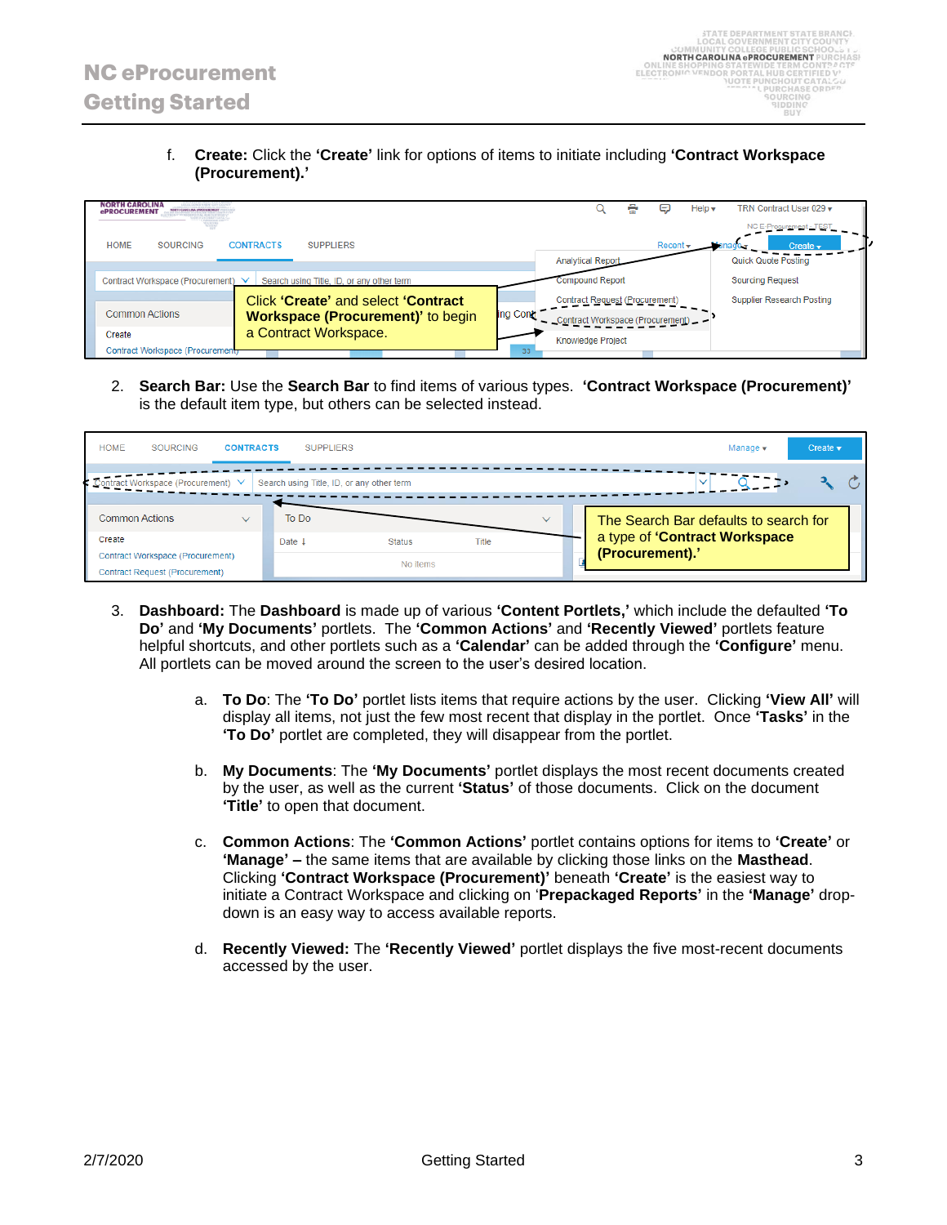f. **Create:** Click the **'Create'** link for options of items to initiate including **'Contract Workspace (Procurement).'**

| <b>NORTH CAROLINA</b><br><b>ePROCUREMENT</b> |                                                                                   |           | ÷                                | Θ                       | Help $\overline{\mathbf{v}}$ | TRN Contract User 029 ▼                                 |
|----------------------------------------------|-----------------------------------------------------------------------------------|-----------|----------------------------------|-------------------------|------------------------------|---------------------------------------------------------|
| <b>HOME</b><br><b>SOURCING</b>               | <b>SUPPLIERS</b><br><b>CONTRACTS</b>                                              |           |                                  | $Recent \triangleright$ |                              | NC E-Procurement - TEST<br>Create $\mathbf{\mathbf{v}}$ |
|                                              |                                                                                   |           | <b>Analytical Report</b>         |                         |                              | Quick Quote Posting                                     |
|                                              | Contract Workspace (Procurement) $\vee$ Search using Title, ID, or any other term |           | <b>Compound Report</b>           |                         |                              | <b>Sourcing Request</b>                                 |
|                                              | Click 'Create' and select 'Contract                                               |           | Contract Request (Procurement)   |                         |                              | Supplier Research Posting                               |
| <b>Common Actions</b>                        | <b>Workspace (Procurement)' to begin</b>                                          | ing Contr | Contract Workspace (Procurement) |                         |                              |                                                         |
| Create                                       | a Contract Workspace.                                                             |           | Knowledge Project                |                         |                              |                                                         |
| Contract Workspace (Procurement              |                                                                                   | 33        |                                  |                         |                              |                                                         |

2. **Search Bar:** Use the **Search Bar** to find items of various types. **'Contract Workspace (Procurement)'** is the default item type, but others can be selected instead.

| <b>HOME</b> | SOURCING                                                           | <b>CONTRACTS</b> | <b>SUPPLIERS</b>                          |               |              |              | Manage $\star$                        | Create $\blacktriangledown$ |  |
|-------------|--------------------------------------------------------------------|------------------|-------------------------------------------|---------------|--------------|--------------|---------------------------------------|-----------------------------|--|
|             | Contract Workspace (Procurement) $\vee$                            |                  | Search using Title, ID, or any other term |               |              |              |                                       |                             |  |
|             | <b>Common Actions</b>                                              | $\checkmark$     | To Do                                     |               |              | $\checkmark$ | The Search Bar defaults to search for |                             |  |
| Create      |                                                                    |                  | Date $\downarrow$                         | <b>Status</b> | <b>Title</b> |              | a type of 'Contract Workspace         |                             |  |
|             | Contract Workspace (Procurement)<br>Contract Request (Procurement) |                  |                                           | No items      |              |              | (Procurement).'                       |                             |  |

- 3. **Dashboard:** The **Dashboard** is made up of various **'Content Portlets,'** which include the defaulted **'To Do'** and **'My Documents'** portlets. The **'Common Actions'** and **'Recently Viewed'** portlets feature helpful shortcuts, and other portlets such as a **'Calendar'** can be added through the **'Configure'** menu. All portlets can be moved around the screen to the user's desired location.
	- a. **To Do**: The **'To Do'** portlet lists items that require actions by the user. Clicking **'View All'** will display all items, not just the few most recent that display in the portlet. Once **'Tasks'** in the **'To Do'** portlet are completed, they will disappear from the portlet.
	- b. **My Documents**: The **'My Documents'** portlet displays the most recent documents created by the user, as well as the current **'Status'** of those documents. Click on the document **'Title'** to open that document.
	- c. **Common Actions**: The **'Common Actions'** portlet contains options for items to **'Create'** or **'Manage' –** the same items that are available by clicking those links on the **Masthead**. Clicking **'Contract Workspace (Procurement)'** beneath **'Create'** is the easiest way to initiate a Contract Workspace and clicking on '**Prepackaged Reports'** in the **'Manage'** dropdown is an easy way to access available reports.
	- d. **Recently Viewed:** The **'Recently Viewed'** portlet displays the five most-recent documents accessed by the user.